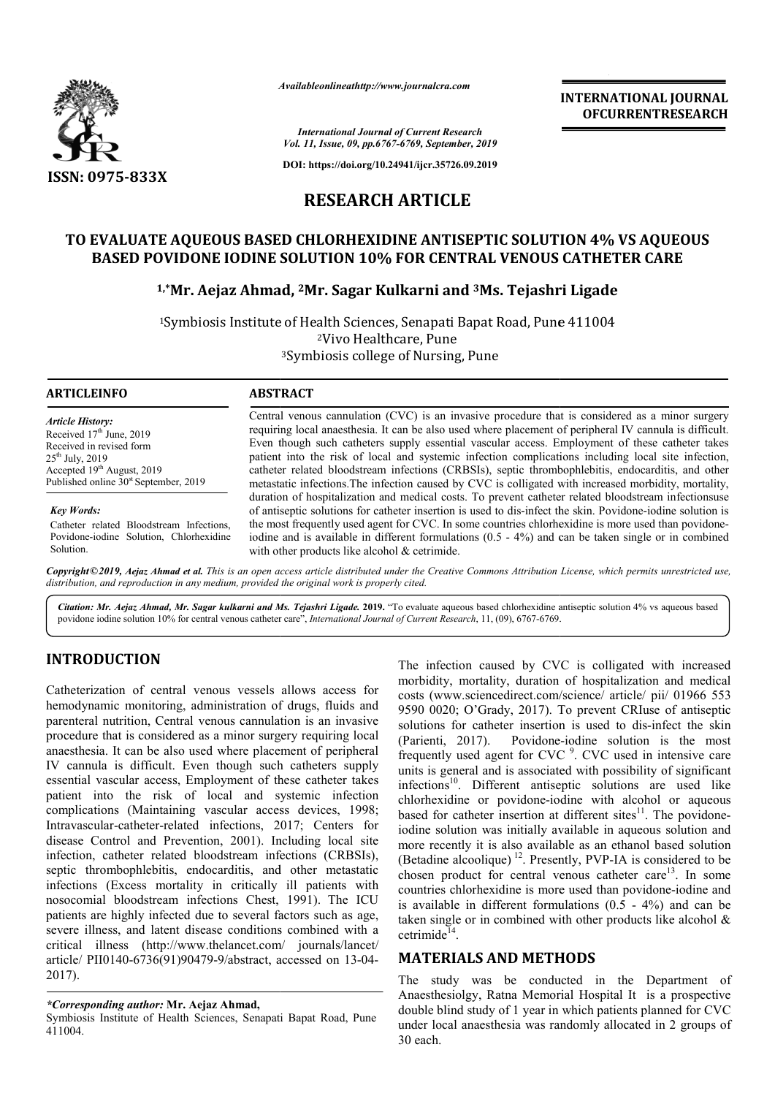

*Availableonlineathttp://www.journal Availableonlineathttp://www.journalcra.com*

*International Journal of Current Research Vol. 11, Issue, 09, pp.6767-6769, September, 2019*

**DOI: https://doi.org/10.24941/ijcr.35726.09.2019**

# **RESEARCH ARTICLE**

# **TO EVALUATE AQUEOUS BASED CHLORHEXIDINE ANTISEPTIC SOLUTION 4% VS AQUEOUS**  BASED POVIDONE IODINE SOLUTION 10% FOR CENTRAL VENOUS CATHETER CARE

## <sup>1,</sup>\*Mr. Aejaz Ahmad, <sup>2</sup>Mr. Sagar Kulkarni and <sup>3</sup>Ms. Tejashri Ligade

<sup>1</sup>Symbiosis Institute of Health Sciences, Senapati Bapat Road, Pune 411004 2Vivo Healthcare, Pune 3Symbiosis college of Nursing, Pune

| <b>ARTICLEINFO</b>                                                                                                                                                                             | <b>ABSTRACT</b>                                                                                                                                                                                                                                                                                                                                                                                                                                                                                                                                                                                                                     |
|------------------------------------------------------------------------------------------------------------------------------------------------------------------------------------------------|-------------------------------------------------------------------------------------------------------------------------------------------------------------------------------------------------------------------------------------------------------------------------------------------------------------------------------------------------------------------------------------------------------------------------------------------------------------------------------------------------------------------------------------------------------------------------------------------------------------------------------------|
| <b>Article History:</b><br>Received $17th$ June, 2019<br>Received in revised form<br>$25^{th}$ July, 2019<br>Accepted $19th$ August, 2019<br>Published online 30 <sup>st</sup> September, 2019 | Central venous cannulation (CVC) is an invasive procedure that is considered as a minor surgery<br>requiring local anaesthesia. It can be also used where placement of peripheral IV cannula is difficult.<br>Even though such catheters supply essential vascular access. Employment of these catheter takes<br>patient into the risk of local and systemic infection complications including local site infection.<br>catheter related bloodstream infections (CRBSIs), septic thrombophlebitis, endocarditis, and other<br>metastatic infections. The infection caused by CVC is colligated with increased morbidity, mortality, |
| <b>Key Words:</b><br>Catheter related Bloodstream Infections.<br>Povidone-iodine Solution, Chlorhexidine                                                                                       | duration of hospitalization and medical costs. To prevent catheter related bloodstream infectionsuse<br>of antiseptic solutions for catheter insertion is used to dis-infect the skin. Povidone-iodine solution is<br>the most frequently used agent for CVC. In some countries chlorhexidine is more used than povidence-<br>iodine and is available in different formulations $(0.5 - 4\%)$ and can be taken single or in combined                                                                                                                                                                                                |

Copyright©2019, Aejaz Ahmad et al. This is an open access article distributed under the Creative Commons Attribution License, which permits unrestricted use, *distribution, and reproduction in any medium, provided the original work is properly cited.*

with other products like alcohol & cetrimide.

Citation: Mr. Aejaz Ahmad, Mr. Sagar kulkarni and Ms. Tejashri Ligade. 2019. "To evaluate aqueous based chlorhexidine antiseptic solution 4% vs aqueous based Citation: Mr. Aejaz Ahmad, Mr. Sagar kulkarni and Ms. Tejashri Ligade. 2019. "To evaluate aqueous based chlorhexidine a<br>povidone iodine solution 10% for central venous catheter care", *International Journal of Current Rese* 

# **INTRODUCTION**

Solution.

Catheterization of central venous vessels allows access for hemodynamic monitoring, administration of drugs, fluids and parenteral nutrition, Central venous cannulation is an invasive procedure that is considered as a minor surgery requiring local anaesthesia. It can be also used where placement of peripheral IV cannula is difficult. Even though such catheters supply essential vascular access, Employment of these catheter takes patient into the risk of local and systemic infection complications (Maintaining vascular access devices, 1998; Intravascular-catheter-related infections, 2017; Centers for disease Control and Prevention, 2001). Including local site infection, catheter related bloodstream infections (CRBSIs), septic thrombophlebitis, endocarditis, and other metastatic infections (Excess mortality in critically ill patients with nosocomial bloodstream infections Chest, 1991). The ICU patients are highly infected due to several factors such as age, severe illness, and latent disease conditions combined with a critical illness (http://www.thelancet.com/ http://www.thelancet.com/ journals/lancet/ article/ PII0140-6736(91)90479-9/abstract, accessed on 13-04-2017). is (Maintaining vascular access devices, 1998;<br>r-catheter-related infections, 2017; Centers for<br>trol and Prevention, 2001). Including local site<br>atheter related bloodstream infections (CRBSIs),<br>mbophlebitis, endocarditis,

#### *\*Corresponding author:* **Mr. Aejaz Ahmad,**

Symbiosis Institute of Health Sciences, Senapati Bapat Road, Pune 411004.

The infection caused by CVC is colligated with increased morbidity, mortality, duration of hospitalization and medical costs (www.sciencedirect.com/science/ article/ pii/ 01966 553 The infection caused by CVC is colligated with increased morbidity, mortality, duration of hospitalization and medical costs (www.sciencedirect.com/science/ article/ pii/ 01966 553 9590 0020; O'Grady, 2017). To prevent CRI solutions for catheter insertion is used to dis-infect the skin  $(Parienti, 2017)$ . frequently used agent for CVC<sup>9</sup>. CVC used in intensive care units is general and is associated with possibility of significant infections<sup>10</sup>. Different antiseptic solutions are used like chlorhexidine or povidone-iodine with alcohol or aqueous infections<sup>10</sup>. Different antiseptic solutions are used like chlorhexidine or povidone-iodine with alcohol or aqueous based for catheter insertion at different sites<sup>11</sup>. The povidoneiodine solution was initially available in aqueous solution and more recently it is also available as an ethanol based solution (Betadine alcoolique)<sup>12</sup>. Presently, PVP-IA is considered to be chosen product for central venous catheter care<sup>13</sup>. In some countries chlorhexidine is more used than povidone-iodine and is available in different formulations  $(0.5 - 4\%)$  and can be taken single or in combined with other products like alcohol  $\&$ cetrimide $14$ . Povidone-iodine solution is the most

### **MATERIALS AND METHODS METHODS**

The study was be conducted in the Department of The study was be conducted in the Department of Anaesthesiolgy, Ratna Memorial Hospital It is a prospective double blind study of 1 year in which patients planned for CVC under local anaesthesia was randomly allocated in 2 groups of 30 each.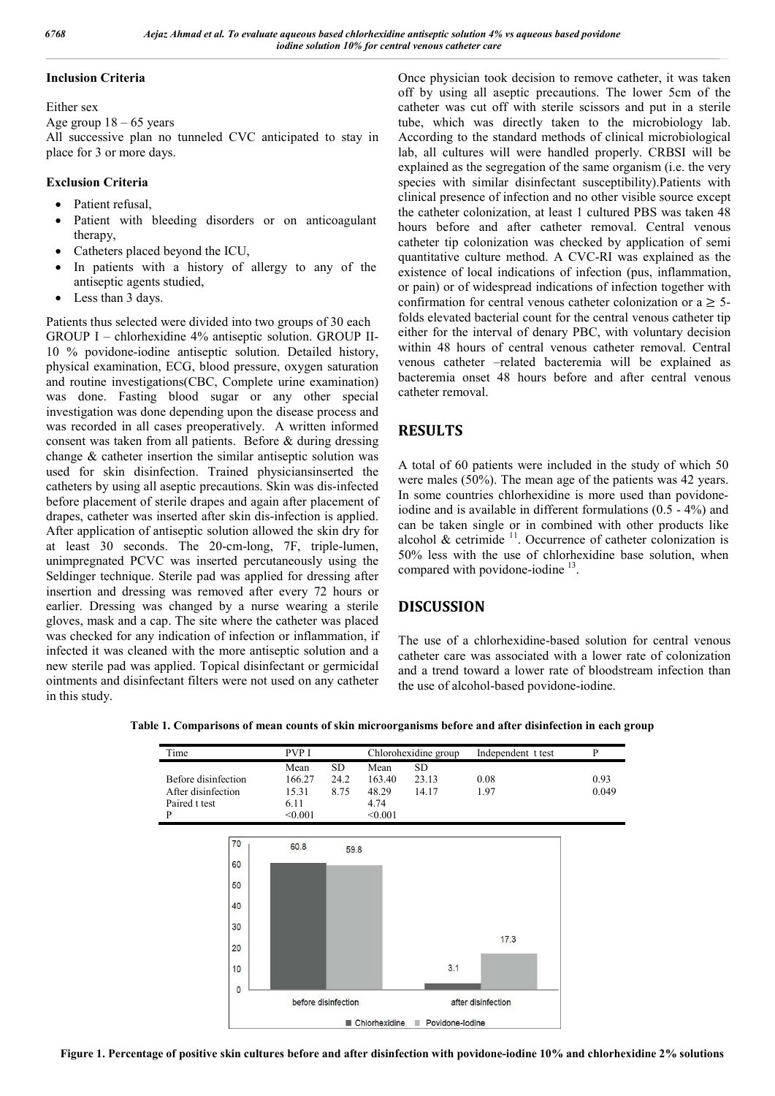#### **Inclusion Criteria**

Either sex

Age group  $18 - 65$  years

All successive plan no tunneled CVC anticipated to stay in place for 3 or more days.

### **Exclusion Criteria**

- Patient refusal,
- Patient with bleeding disorders or on anticoagulant therapy,
- Catheters placed beyond the ICU,
- In patients with a history of allergy to any of the antiseptic agents studied,
- Less than 3 days.

Patients thus selected were divided into two groups of 30 each GROUP I – chlorhexidine 4% antiseptic solution. GROUP II-10 % povidone-iodine antiseptic solution. Detailed history, physical examination, ECG, blood pressure, oxygen saturation and routine investigations(CBC, Complete urine examination) was done. Fasting blood sugar or any other special investigation was done depending upon the disease process and was recorded in all cases preoperatively. A written informed consent was taken from all patients. Before & during dressing change & catheter insertion the similar antiseptic solution was used for skin disinfection. Trained physiciansinserted the catheters by using all aseptic precautions. Skin was dis-infected before placement of sterile drapes and again after placement of drapes, catheter was inserted after skin dis-infection is applied. After application of antiseptic solution allowed the skin dry for at least 30 seconds. The 20-cm-long, 7F, triple-lumen, unimpregnated PCVC was inserted percutaneously using the Seldinger technique. Sterile pad was applied for dressing after insertion and dressing was removed after every 72 hours or earlier. Dressing was changed by a nurse wearing a sterile gloves, mask and a cap. The site where the catheter was placed was checked for any indication of infection or inflammation, if infected it was cleaned with the more antiseptic solution and a new sterile pad was applied. Topical disinfectant or germicidal ointments and disinfectant filters were not used on any catheter in this study.

Once physician took decision to remove catheter, it was taken off by using all aseptic precautions. The lower 5cm of the catheter was cut off with sterile scissors and put in a sterile tube, which was directly taken to the microbiology lab. According to the standard methods of clinical microbiological lab, all cultures will were handled properly. CRBSI will be explained as the segregation of the same organism (i.e. the very species with similar disinfectant susceptibility).Patients with clinical presence of infection and no other visible source except the catheter colonization, at least 1 cultured PBS was taken 48 hours before and after catheter removal. Central venous catheter tip colonization was checked by application of semi quantitative culture method. A CVC-RI was explained as the existence of local indications of infection (pus, inflammation, or pain) or of widespread indications of infection together with confirmation for central venous catheter colonization or  $a \geq 5$ folds elevated bacterial count for the central venous catheter tip either for the interval of denary PBC, with voluntary decision within 48 hours of central venous catheter removal. Central venous catheter –related bacteremia will be explained as bacteremia onset 48 hours before and after central venous catheter removal.

# **RESULTS**

A total of 60 patients were included in the study of which 50 were males (50%). The mean age of the patients was 42 years. In some countries chlorhexidine is more used than povidoneiodine and is available in different formulations (0.5 - 4%) and can be taken single or in combined with other products like alcohol  $\&$  cetrimide  $11$ . Occurrence of catheter colonization is 50% less with the use of chlorhexidine base solution, when compared with povidone-iodine  $^{13}$ .

## **DISCUSSION**

The use of a chlorhexidine-based solution for central venous catheter care was associated with a lower rate of colonization and a trend toward a lower rate of bloodstream infection than the use of alcohol-based povidone-iodine.



**Table 1. Comparisons of mean counts of skin microorganisms before and after disinfection in each group**